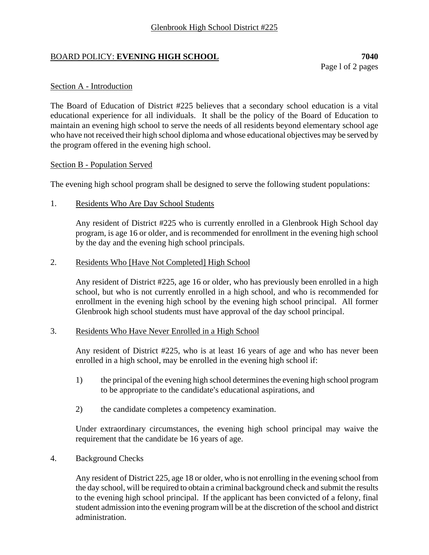## BOARD POLICY: **EVENING HIGH SCHOOL 7040**

Page l of 2 pages

### Section A - Introduction

The Board of Education of District #225 believes that a secondary school education is a vital educational experience for all individuals. It shall be the policy of the Board of Education to maintain an evening high school to serve the needs of all residents beyond elementary school age who have not received their high school diploma and whose educational objectives may be served by the program offered in the evening high school.

### Section B - Population Served

The evening high school program shall be designed to serve the following student populations:

1. Residents Who Are Day School Students

Any resident of District #225 who is currently enrolled in a Glenbrook High School day program, is age 16 or older, and is recommended for enrollment in the evening high school by the day and the evening high school principals.

### 2. Residents Who [Have Not Completed] High School

Any resident of District #225, age 16 or older, who has previously been enrolled in a high school, but who is not currently enrolled in a high school, and who is recommended for enrollment in the evening high school by the evening high school principal. All former Glenbrook high school students must have approval of the day school principal.

### 3. Residents Who Have Never Enrolled in a High School

Any resident of District #225, who is at least 16 years of age and who has never been enrolled in a high school, may be enrolled in the evening high school if:

- 1) the principal of the evening high school determines the evening high school program to be appropriate to the candidate's educational aspirations, and
- 2) the candidate completes a competency examination.

Under extraordinary circumstances, the evening high school principal may waive the requirement that the candidate be 16 years of age.

4. Background Checks

Any resident of District 225, age 18 or older, who is not enrolling in the evening school from the day school, will be required to obtain a criminal background check and submit the results to the evening high school principal. If the applicant has been convicted of a felony, final student admission into the evening program will be at the discretion of the school and district administration.